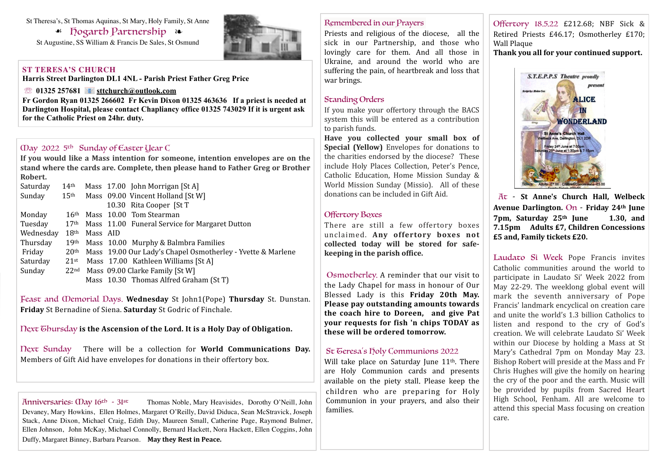#### St Theresa's, St Thomas Aquinas, St Mary, Holy Family, St Anne

☙ Hogarth Partnership ❧

St Augustine, SS William & Francis De Sales, St Osmund

#### **ST TERESA'S CHURCH**

**Harris Street Darlington DL1 4NL - Parish Priest Father Greg Price**

☏ **01325 257681 [sttchurch@outlook.com](mailto:sttchurch@outlook.com)**

**Fr Gordon Ryan 01325 266602 Fr Kevin Dixon 01325 463636 If a priest is needed at Darlington Hospital, please contact Chapliancy office 01325 743029 If it is urgent ask for the Catholic Priest on 24hr. duty.**

## May 2022 5th Sunday of Easter Year C

If you would like a Mass intention for someone, intention envelopes are on the stand where the cards are. Complete, then please hand to Father Greg or Brother **Robert.**

| Saturday  | 14 <sup>th</sup> |          | Mass 17.00 John Morrigan [St A]                                              |
|-----------|------------------|----------|------------------------------------------------------------------------------|
| Sunday    | 15 <sup>th</sup> |          | Mass 09.00 Vincent Holland [St W]                                            |
|           |                  |          | 10.30 Rita Cooper [St T]                                                     |
| Monday    | 16 <sup>th</sup> |          | Mass 10.00 Tom Stearman                                                      |
| Tuesday   |                  |          | 17 <sup>th</sup> Mass 11.00 Funeral Service for Margaret Dutton              |
| Wednesday | 18 <sup>th</sup> | Mass AID |                                                                              |
| Thursday  | 19th             |          | Mass 10.00 Murphy & Balmbra Families                                         |
| Friday    |                  |          | 20 <sup>th</sup> Mass 19.00 Our Lady's Chapel Osmotherley - Yvette & Marlene |
| Saturday  | $21$ st          |          | Mass 17.00 Kathleen Williams [St A]                                          |
| Sunday    |                  |          | 22nd Mass 09.00 Clarke Family [St W]                                         |
|           |                  |          | Mass 10.30 Thomas Alfred Graham (St T)                                       |

Feast and *Oemorial Days*. Wednesday St John1(Pope) Thursday St. Dunstan. **Friday** St Bernadine of Siena. **Saturday** St Godric of Finchale.

## Next Ghursday is the Ascension of the Lord. It is a Holy Day of Obligation.

Next Sunday There will be a collection for **World Communications Day.** Members of Gift Aid have envelopes for donations in their offertory box.

Anniversaries:  $\Omega$  ay 16<sup>th</sup> - 31<sup>st</sup> Thomas Noble, Mary Heavisides, Dorothy O'Neill, John Devaney, Mary Howkins, Ellen Holmes, Margaret O'Reilly, David Diduca, Sean McStravick, Joseph Stack, Anne Dixon, Michael Craig, Edith Day, Maureen Small, Catherine Page, Raymond Bulmer, Ellen Johnson, John McKay, Michael Connolly, Bernard Hackett, Nora Hackett, Ellen Coggins, John Duffy, Margaret Binney, Barbara Pearson. May they Rest in Peace.

#### Remembered in our Prayers

Priests and religious of the diocese, all the sick in our Partnership, and those who lovingly care for them. And all those in Ukraine, and around the world who are suffering the pain, of heartbreak and loss that war brings.

## Standing Orders

If you make your offertory through the BACS system this will be entered as a contribution to parish funds.

Have you collected your small box of **Special (Yellow)** Envelopes for donations to the charities endorsed by the diocese? These include Holy Places Collection, Peter's Pence, Catholic Education, Home Mission Sunday & World Mission Sunday (Missio). All of these donations can be included in Gift Aid.

# Offertory Boxes

There are still a few offertory boxes unclaimed. Any offertory boxes not collected today will be stored for safe**keeping** in the parish office.

Osmotherley. A reminder that our visit to the Lady Chapel for mass in honour of Our Blessed Lady is this Friday 20th May. **Please pay outstanding amounts towards** the coach hire to Doreen, and give Pat **your requests for fish 'n chips TODAY as these will be ordered tomorrow.**

#### St Geresa's holy Communions 2022

Will take place on Saturday June 11<sup>th</sup>. There are Holy Communion cards and presents available on the piety stall. Please keep the children who are preparing for Holy Communion in your prayers, and also their families.

Offertory 18.5.22 £212.68; NBF Sick & Retired Priests £46.17; Osmotherley £170; Wall Plaque

Thank you all for your continued support.



At - **St Anne's Church Hall, Welbeck**  Avenue Darlington. On - Friday 24th June 7pm, Saturday 25<sup>th</sup> June 1.30, and **7.15pm Adults £7, Children Concessions £5 and, Family tickets £20.**

Laudato Si Week Pope Francis invites Catholic communities around the world to participate in Laudato Si' Week 2022 from May 22-29. The weeklong global event will mark the seventh anniversary of Pope Francis' landmark encyclical on creation care and unite the world's 1.3 billion Catholics to listen and respond to the cry of God's creation. We will celebrate Laudato Si' Week within our Diocese by holding a Mass at St Mary's Cathedral 7pm on Monday May 23. Bishop Robert will preside at the Mass and Fr Chris Hughes will give the homily on hearing the cry of the poor and the earth. Music will be provided by pupils from Sacred Heart High School, Fenham. All are welcome to attend this special Mass focusing on creation care.